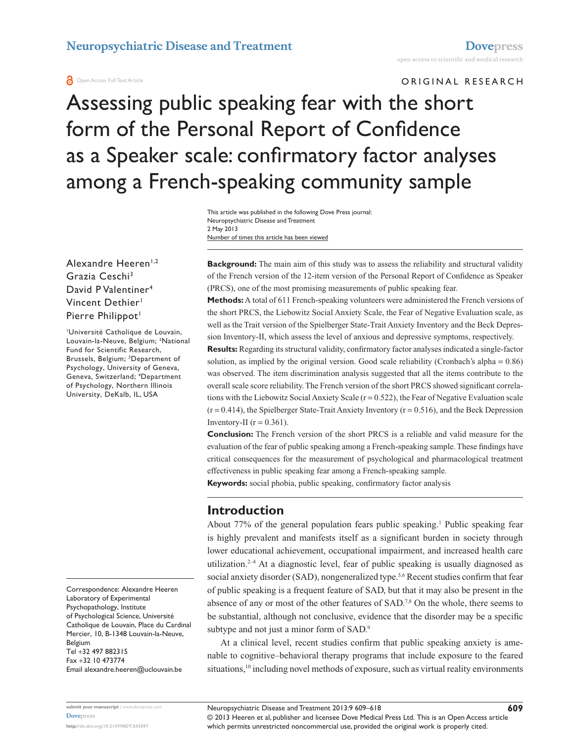ORIGINAL RESEARCH

# Assessing public speaking fear with the short form of the Personal Report of Confidence as a Speaker scale: confirmatory factor analyses among a French-speaking community sample

Number of times this article has been viewed This article was published in the following Dove Press journal: Neuropsychiatric Disease and Treatment 2 May 2013

Alexandre Heeren<sup>1,2</sup> Grazia Ceschi3 David P Valentiner4 Vincent Dethier<sup>1</sup> Pierre Philippot<sup>1</sup>

Université Catholique de Louvain, Louvain-la-Neuve, Belgium; <sup>2</sup>National Fund for Scientific Research, Brussels, Belgium; <sup>3</sup>Department of Psychology, University of Geneva, Geneva, Switzerland; 4 Department of Psychology, Northern Illinois University, DeKalb, IL, USA

Correspondence: Alexandre Heeren Laboratory of Experimental Psychopathology, Institute of Psychological Science, Université Catholique de Louvain, Place du Cardinal Mercier, 10, B-1348 Louvain-la-Neuve, Belgium Tel +32 497 882315

Fax +32 10 473774 Email a[lexandre.heeren@uclouvain.be](mailto:alexandre.heeren@uclouvain.be) **Background:** The main aim of this study was to assess the reliability and structural validity of the French version of the 12-item version of the Personal Report of Confidence as Speaker (PRCS), one of the most promising measurements of public speaking fear.

**Methods:** A total of 611 French-speaking volunteers were administered the French versions of the short PRCS, the Liebowitz Social Anxiety Scale, the Fear of Negative Evaluation scale, as well as the Trait version of the Spielberger State-Trait Anxiety Inventory and the Beck Depression Inventory-II, which assess the level of anxious and depressive symptoms, respectively.

**Results:** Regarding its structural validity, confirmatory factor analyses indicated a single-factor solution, as implied by the original version. Good scale reliability (Cronbach's alpha = 0.86) was observed. The item discrimination analysis suggested that all the items contribute to the overall scale score reliability. The French version of the short PRCS showed significant correlations with the Liebowitz Social Anxiety Scale ( $r = 0.522$ ), the Fear of Negative Evaluation scale  $(r = 0.414)$ , the Spielberger State-Trait Anxiety Inventory  $(r = 0.516)$ , and the Beck Depression Inventory-II ( $r = 0.361$ ).

**Conclusion:** The French version of the short PRCS is a reliable and valid measure for the evaluation of the fear of public speaking among a French-speaking sample. These findings have critical consequences for the measurement of psychological and pharmacological treatment effectiveness in public speaking fear among a French-speaking sample.

**Keywords:** social phobia, public speaking, confirmatory factor analysis

### **Introduction**

About 77% of the general population fears public speaking.<sup>1</sup> Public speaking fear is highly prevalent and manifests itself as a significant burden in society through lower educational achievement, occupational impairment, and increased health care utilization.<sup>2–4</sup> At a diagnostic level, fear of public speaking is usually diagnosed as social anxiety disorder (SAD), nongeneralized type.<sup>5,6</sup> Recent studies confirm that fear of public speaking is a frequent feature of SAD, but that it may also be present in the absence of any or most of the other features of SAD.<sup>7,8</sup> On the whole, there seems to be substantial, although not conclusive, evidence that the disorder may be a specific subtype and not just a minor form of SAD.<sup>9</sup>

At a clinical level, recent studies confirm that public speaking anxiety is amenable to cognitive–behavioral therapy programs that include exposure to the feared situations,<sup>10</sup> including novel methods of exposure, such as virtual reality environments

**609**

© 2013 Heeren et al, publisher and licensee Dove Medical Press Ltd. This is an Open Access article which permits unrestricted noncommercial use, provided the original work is properly cited.

**submit your manuscript** | <www.dovepress.com> **[Dovepress](www.dovepress.com)**

**<http://dx.doi.org/10.2147/NDT.S43097>**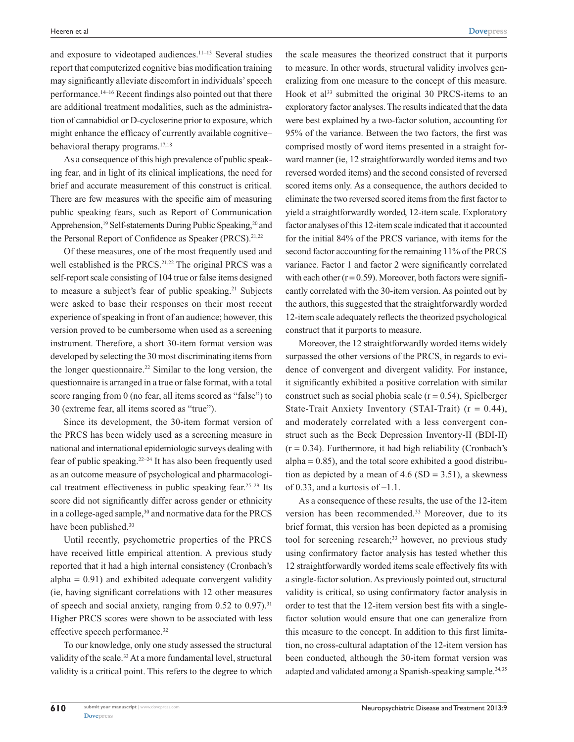and exposure to videotaped audiences.<sup>11-13</sup> Several studies report that computerized cognitive bias modification training may significantly alleviate discomfort in individuals' speech performance.14–16 Recent findings also pointed out that there are additional treatment modalities, such as the administration of cannabidiol or D-cycloserine prior to exposure, which might enhance the efficacy of currently available cognitive– behavioral therapy programs.17,18

As a consequence of this high prevalence of public speaking fear, and in light of its clinical implications, the need for brief and accurate measurement of this construct is critical. There are few measures with the specific aim of measuring public speaking fears, such as Report of Communication Apprehension,<sup>19</sup> Self-statements During Public Speaking,<sup>20</sup> and the Personal Report of Confidence as Speaker (PRCS).<sup>21,22</sup>

Of these measures, one of the most frequently used and well established is the PRCS.<sup>21,22</sup> The original PRCS was a self-report scale consisting of 104 true or false items designed to measure a subject's fear of public speaking.<sup>21</sup> Subjects were asked to base their responses on their most recent experience of speaking in front of an audience; however, this version proved to be cumbersome when used as a screening instrument. Therefore, a short 30-item format version was developed by selecting the 30 most discriminating items from the longer questionnaire.<sup>22</sup> Similar to the long version, the questionnaire is arranged in a true or false format, with a total score ranging from 0 (no fear, all items scored as "false") to 30 (extreme fear, all items scored as "true").

Since its development, the 30-item format version of the PRCS has been widely used as a screening measure in national and international epidemiologic surveys dealing with fear of public speaking.22–24 It has also been frequently used as an outcome measure of psychological and pharmacological treatment effectiveness in public speaking fear.  $25-29$  Its score did not significantly differ across gender or ethnicity in a college-aged sample,<sup>30</sup> and normative data for the PRCS have been published.<sup>30</sup>

Until recently, psychometric properties of the PRCS have received little empirical attention. A previous study reported that it had a high internal consistency (Cronbach's alpha  $= 0.91$ ) and exhibited adequate convergent validity (ie, having significant correlations with 12 other measures of speech and social anxiety, ranging from  $0.52$  to  $0.97$ ).<sup>31</sup> Higher PRCS scores were shown to be associated with less effective speech performance.32

To our knowledge, only one study assessed the structural validity of the scale.<sup>33</sup> At a more fundamental level, structural validity is a critical point. This refers to the degree to which the scale measures the theorized construct that it purports to measure. In other words, structural validity involves generalizing from one measure to the concept of this measure. Hook et al<sup>33</sup> submitted the original 30 PRCS-items to an exploratory factor analyses. The results indicated that the data were best explained by a two-factor solution, accounting for 95% of the variance. Between the two factors, the first was comprised mostly of word items presented in a straight forward manner (ie, 12 straightforwardly worded items and two reversed worded items) and the second consisted of reversed scored items only. As a consequence, the authors decided to eliminate the two reversed scored items from the first factor to yield a straightforwardly worded, 12-item scale. Exploratory factor analyses of this 12-item scale indicated that it accounted for the initial 84% of the PRCS variance, with items for the second factor accounting for the remaining 11% of the PRCS variance. Factor 1 and factor 2 were significantly correlated with each other  $(r = 0.59)$ . Moreover, both factors were significantly correlated with the 30-item version. As pointed out by the authors, this suggested that the straightforwardly worded 12-item scale adequately reflects the theorized psychological construct that it purports to measure.

Moreover, the 12 straightforwardly worded items widely surpassed the other versions of the PRCS, in regards to evidence of convergent and divergent validity. For instance, it significantly exhibited a positive correlation with similar construct such as social phobia scale  $(r = 0.54)$ , Spielberger State-Trait Anxiety Inventory (STAI-Trait)  $(r = 0.44)$ , and moderately correlated with a less convergent construct such as the Beck Depression Inventory-II (BDI-II)  $(r = 0.34)$ . Furthermore, it had high reliability (Cronbach's  $alpha = 0.85$ , and the total score exhibited a good distribution as depicted by a mean of  $4.6$  (SD =  $3.51$ ), a skewness of 0.33, and a kurtosis of  $-1.1$ .

As a consequence of these results, the use of the 12-item version has been recommended.33 Moreover, due to its brief format, this version has been depicted as a promising tool for screening research;<sup>33</sup> however, no previous study using confirmatory factor analysis has tested whether this 12 straightforwardly worded items scale effectively fits with a single-factor solution. As previously pointed out, structural validity is critical, so using confirmatory factor analysis in order to test that the 12-item version best fits with a singlefactor solution would ensure that one can generalize from this measure to the concept. In addition to this first limitation, no cross-cultural adaptation of the 12-item version has been conducted, although the 30-item format version was adapted and validated among a Spanish-speaking sample.<sup>34,35</sup>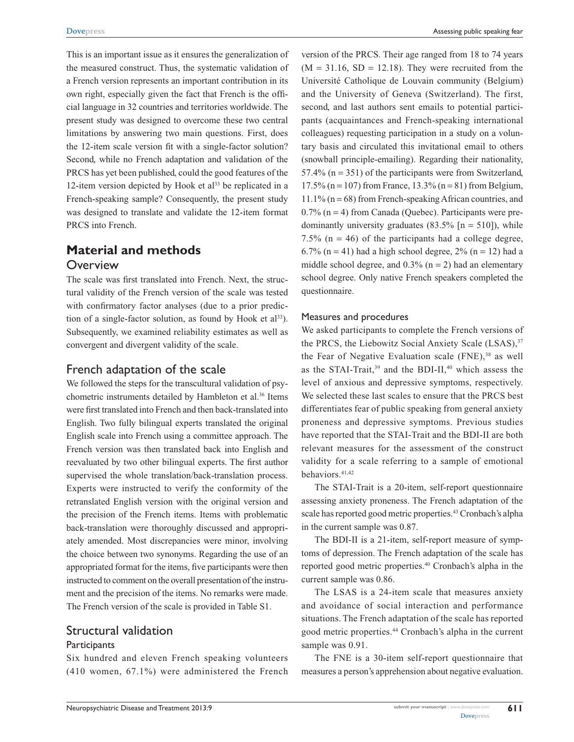This is an important issue as it ensures the generalization of the measured construct. Thus, the systematic validation of a French version represents an important contribution in its own right, especially given the fact that French is the official language in 32 countries and territories worldwide. The present study was designed to overcome these two central limitations by answering two main questions. First, does the 12-item scale version fit with a single-factor solution? Second, while no French adaptation and validation of the PRCS has yet been published, could the good features of the 12-item version depicted by Hook et al<sup>33</sup> be replicated in a French-speaking sample? Consequently, the present study was designed to translate and validate the 12-item format PRCS into French.

# **Material and methods**

#### **Overview**

The scale was first translated into French. Next, the structural validity of the French version of the scale was tested with confirmatory factor analyses (due to a prior prediction of a single-factor solution, as found by Hook et  $al^{33}$ ). Subsequently, we examined reliability estimates as well as convergent and divergent validity of the scale.

### French adaptation of the scale

We followed the steps for the transcultural validation of psychometric instruments detailed by Hambleton et al.<sup>36</sup> Items were first translated into French and then back-translated into English. Two fully bilingual experts translated the original English scale into French using a committee approach. The French version was then translated back into English and reevaluated by two other bilingual experts. The first author supervised the whole translation/back-translation process. Experts were instructed to verify the conformity of the retranslated English version with the original version and the precision of the French items. Items with problematic back-translation were thoroughly discussed and appropriately amended. Most discrepancies were minor, involving the choice between two synonyms. Regarding the use of an appropriated format for the items, five participants were then instructed to comment on the overall presentation of the instrument and the precision of the items. No remarks were made. The French version of the scale is provided in Table S1.

# Structural validation

### **Participants**

Six hundred and eleven French speaking volunteers (410 women, 67.1%) were administered the French version of the PRCS. Their age ranged from 18 to 74 years  $(M = 31.16, SD = 12.18)$ . They were recruited from the Université Catholique de Louvain community (Belgium) and the University of Geneva (Switzerland). The first, second, and last authors sent emails to potential participants (acquaintances and French-speaking international colleagues) requesting participation in a study on a voluntary basis and circulated this invitational email to others (snowball principle-emailing). Regarding their nationality,  $57.4\%$  (n = 351) of the participants were from Switzerland, 17.5% (n = 107) from France, 13.3% (n = 81) from Belgium,  $11.1\%$  (n = 68) from French-speaking African countries, and  $0.7\%$  (n = 4) from Canada (Quebec). Participants were predominantly university graduates  $(83.5\%$  [n = 510]), while 7.5% ( $n = 46$ ) of the participants had a college degree, 6.7% (n = 41) had a high school degree,  $2\%$  (n = 12) had a middle school degree, and  $0.3\%$  (n = 2) had an elementary school degree. Only native French speakers completed the questionnaire.

#### Measures and procedures

We asked participants to complete the French versions of the PRCS, the Liebowitz Social Anxiety Scale (LSAS),<sup>37</sup> the Fear of Negative Evaluation scale  $(FNE)$ ,<sup>38</sup> as well as the STAI-Trait,<sup>39</sup> and the BDI-II,<sup>40</sup> which assess the level of anxious and depressive symptoms, respectively. We selected these last scales to ensure that the PRCS best differentiates fear of public speaking from general anxiety proneness and depressive symptoms. Previous studies have reported that the STAI-Trait and the BDI-II are both relevant measures for the assessment of the construct validity for a scale referring to a sample of emotional behaviors.<sup>41,42</sup>

The STAI-Trait is a 20-item, self-report questionnaire assessing anxiety proneness. The French adaptation of the scale has reported good metric properties.<sup>43</sup> Cronbach's alpha in the current sample was 0.87.

The BDI-II is a 21-item, self-report measure of symptoms of depression. The French adaptation of the scale has reported good metric properties.<sup>40</sup> Cronbach's alpha in the current sample was 0.86.

The LSAS is a 24-item scale that measures anxiety and avoidance of social interaction and performance situations. The French adaptation of the scale has reported good metric properties.44 Cronbach's alpha in the current sample was 0.91.

The FNE is a 30-item self-report questionnaire that measures a person's apprehension about negative evaluation.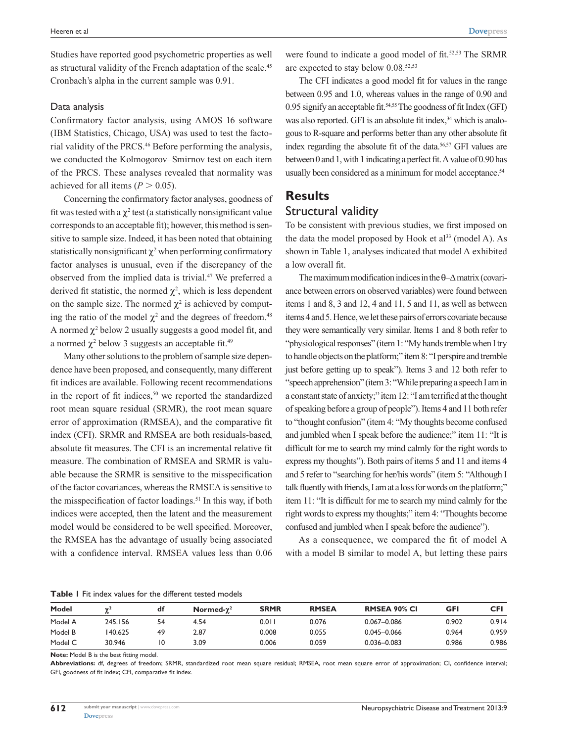Studies have reported good psychometric properties as well as structural validity of the French adaptation of the scale.<sup>45</sup> Cronbach's alpha in the current sample was 0.91.

#### Data analysis

Confirmatory factor analysis, using AMOS 16 software (IBM Statistics, Chicago, USA) was used to test the factorial validity of the PRCS.46 Before performing the analysis, we conducted the Kolmogorov–Smirnov test on each item of the PRCS. These analyses revealed that normality was achieved for all items  $(P > 0.05)$ .

Concerning the confirmatory factor analyses, goodness of fit was tested with a  $\chi^2$  test (a statistically nonsignificant value corresponds to an acceptable fit); however, this method is sensitive to sample size. Indeed, it has been noted that obtaining statistically nonsignificant  $\chi^2$  when performing confirmatory factor analyses is unusual, even if the discrepancy of the observed from the implied data is trivial.47 We preferred a derived fit statistic, the normed  $\chi^2$ , which is less dependent on the sample size. The normed  $\chi^2$  is achieved by computing the ratio of the model  $\chi^2$  and the degrees of freedom.<sup>48</sup> A normed  $\chi^2$  below 2 usually suggests a good model fit, and a normed  $\chi^2$  below 3 suggests an acceptable fit.<sup>49</sup>

Many other solutions to the problem of sample size dependence have been proposed, and consequently, many different fit indices are available. Following recent recommendations in the report of fit indices, $50$  we reported the standardized root mean square residual (SRMR), the root mean square error of approximation (RMSEA), and the comparative fit index (CFI). SRMR and RMSEA are both residuals-based, absolute fit measures. The CFI is an incremental relative fit measure. The combination of RMSEA and SRMR is valuable because the SRMR is sensitive to the misspecification of the factor covariances, whereas the RMSEA is sensitive to the misspecification of factor loadings.<sup>51</sup> In this way, if both indices were accepted, then the latent and the measurement model would be considered to be well specified. Moreover, the RMSEA has the advantage of usually being associated with a confidence interval. RMSEA values less than 0.06

were found to indicate a good model of fit.<sup>52,53</sup> The SRMR are expected to stay below 0.08.<sup>52,53</sup>

The CFI indicates a good model fit for values in the range between 0.95 and 1.0, whereas values in the range of 0.90 and 0.95 signify an acceptable fit.<sup>54,55</sup> The goodness of fit Index (GFI) was also reported. GFI is an absolute fit index,<sup>34</sup> which is analogous to R-square and performs better than any other absolute fit index regarding the absolute fit of the data.<sup>56,57</sup> GFI values are between 0 and 1, with 1 indicating a perfect fit. A value of 0.90 has usually been considered as a minimum for model acceptance.<sup>54</sup>

# **Results** Structural validity

To be consistent with previous studies, we first imposed on the data the model proposed by Hook et  $al<sup>33</sup>$  (model A). As shown in Table 1, analyses indicated that model A exhibited a low overall fit.

The maximum modification indices in the θ–∆ matrix (covariance between errors on observed variables) were found between items 1 and 8, 3 and 12, 4 and 11, 5 and 11, as well as between items 4 and 5. Hence, we let these pairs of errors covariate because they were semantically very similar. Items 1 and 8 both refer to "physiological responses" (item 1: "My hands tremble when I try to handle objects on the platform;" item 8: "I perspire and tremble just before getting up to speak"). Items 3 and 12 both refer to "speech apprehension" (item 3: "While preparing a speech I am in a constant state of anxiety;" item 12: "I am terrified at the thought of speaking before a group of people"). Items 4 and 11 both refer to "thought confusion" (item 4: "My thoughts become confused and jumbled when I speak before the audience;" item 11: "It is difficult for me to search my mind calmly for the right words to express my thoughts"). Both pairs of items 5 and 11 and items 4 and 5 refer to "searching for her/his words" (item 5: "Although I talk fluently with friends, I am at a loss for words on the platform;" item 11: "It is difficult for me to search my mind calmly for the right words to express my thoughts;" item 4: "Thoughts become confused and jumbled when I speak before the audience").

As a consequence, we compared the fit of model A with a model B similar to model A, but letting these pairs

**Table 1** Fit index values for the different tested models

| Model   | $\sim$  | df | Normed- $\gamma^2$ | <b>SRMR</b> | <b>RMSEA</b> | <b>RMSEA 90% CI</b> | <b>GFI</b> | <b>CFI</b> |
|---------|---------|----|--------------------|-------------|--------------|---------------------|------------|------------|
| Model A | 245.156 | 54 | 4.54               | 0.011       | 0.076        | $0.067 - 0.086$     | 0.902      | 0.914      |
| Model B | 40.625  | 49 | 2.87               | 0.008       | 0.055        | $0.045 - 0.066$     | 0.964      | 0.959      |
| Model C | 30.946  | ۱0 | 3.09               | 0.006       | 0.059        | $0.036 - 0.083$     | 0.986      | 0.986      |

**Note:** Model B is the best fitting model.

**Abbreviations:** df, degrees of freedom; SRMR, standardized root mean square residual; RMSEA, root mean square error of approximation; CI, confidence interval; GFI, goodness of fit index; CFI, comparative fit index.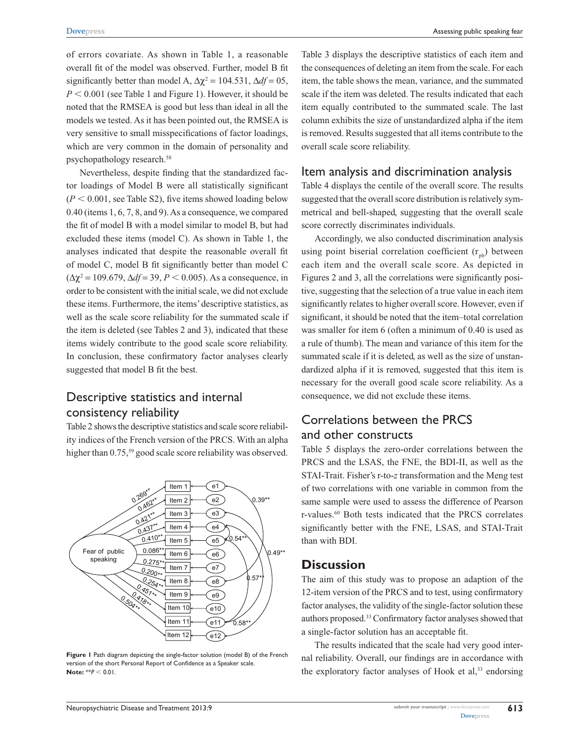Assessing public speaking fear

of errors covariate. As shown in Table 1, a reasonable overall fit of the model was observed. Further, model B fit significantly better than model A,  $\Delta \chi^2 = 104.531$ ,  $\Delta df = 05$ ,  $P \le 0.001$  (see Table 1 and Figure 1). However, it should be noted that the RMSEA is good but less than ideal in all the models we tested. As it has been pointed out, the RMSEA is very sensitive to small misspecifications of factor loadings, which are very common in the domain of personality and psychopathology research.<sup>58</sup>

Nevertheless, despite finding that the standardized factor loadings of Model B were all statistically significant  $(P < 0.001$ , see Table S2), five items showed loading below 0.40 (items 1, 6, 7, 8, and 9). As a consequence, we compared the fit of model B with a model similar to model B, but had excluded these items (model C). As shown in Table 1, the analyses indicated that despite the reasonable overall fit of model C, model B fit significantly better than model C  $(\Delta \chi^2 = 109.679, \Delta df = 39, P < 0.005)$ . As a consequence, in order to be consistent with the initial scale, we did not exclude these items. Furthermore, the items' descriptive statistics, as well as the scale score reliability for the summated scale if the item is deleted (see Tables 2 and 3), indicated that these items widely contribute to the good scale score reliability. In conclusion, these confirmatory factor analyses clearly suggested that model B fit the best.

# Descriptive statistics and internal consistency reliability

Table 2 shows the descriptive statistics and scale score reliability indices of the French version of the PRCS. With an alpha higher than 0.75,<sup>59</sup> good scale score reliability was observed.



**Figure 1** Path diagram depicting the single-factor solution (model B) of the French version of the short Personal Report of Confidence as a Speaker scale. **Note:**  $*P < 0.01$ .

Table 3 displays the descriptive statistics of each item and the consequences of deleting an item from the scale. For each item, the table shows the mean, variance, and the summated scale if the item was deleted. The results indicated that each item equally contributed to the summated scale. The last column exhibits the size of unstandardized alpha if the item is removed. Results suggested that all items contribute to the overall scale score reliability.

### Item analysis and discrimination analysis

Table 4 displays the centile of the overall score. The results suggested that the overall score distribution is relatively symmetrical and bell-shaped, suggesting that the overall scale score correctly discriminates individuals.

Accordingly, we also conducted discrimination analysis using point biserial correlation coefficient  $(r_{\text{nb}})$  between each item and the overall scale score. As depicted in Figures 2 and 3, all the correlations were significantly positive, suggesting that the selection of a true value in each item significantly relates to higher overall score. However, even if significant, it should be noted that the item–total correlation was smaller for item 6 (often a minimum of 0.40 is used as a rule of thumb). The mean and variance of this item for the summated scale if it is deleted, as well as the size of unstandardized alpha if it is removed, suggested that this item is necessary for the overall good scale score reliability. As a consequence, we did not exclude these items.

# Correlations between the PRCS and other constructs

Table 5 displays the zero-order correlations between the PRCS and the LSAS, the FNE, the BDI-II, as well as the STAI-Trait. Fisher's r-to-*z* transformation and the Meng test of two correlations with one variable in common from the same sample were used to assess the difference of Pearson r-values.60 Both tests indicated that the PRCS correlates significantly better with the FNE, LSAS, and STAI-Trait than with BDI.

## **Discussion**

The aim of this study was to propose an adaption of the 12-item version of the PRCS and to test, using confirmatory factor analyses, the validity of the single-factor solution these authors proposed.33 Confirmatory factor analyses showed that a single-factor solution has an acceptable fit.

The results indicated that the scale had very good internal reliability. Overall, our findings are in accordance with the exploratory factor analyses of Hook et al, $33$  endorsing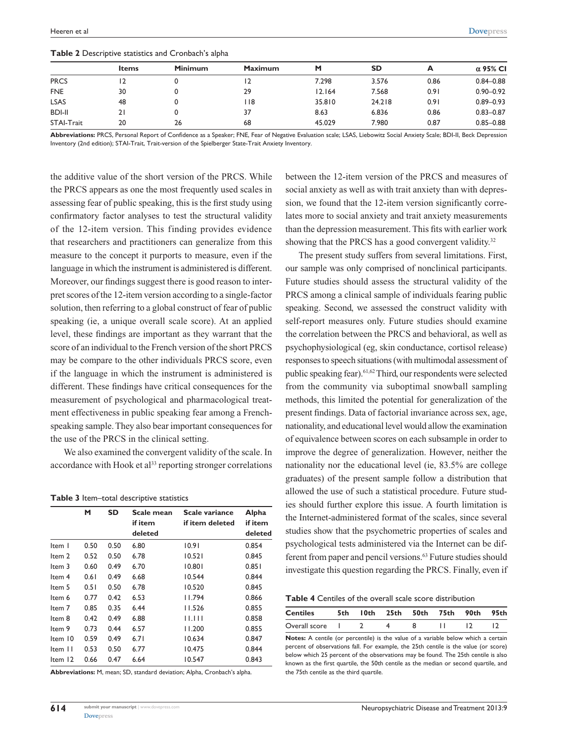|               | <b>Items</b> | <b>Minimum</b> | Maximum | М      | <b>SD</b> | А    | $\alpha$ 95% CI |
|---------------|--------------|----------------|---------|--------|-----------|------|-----------------|
| <b>PRCS</b>   |              |                | 12      | 7.298  | 3.576     | 0.86 | $0.84 - 0.88$   |
| <b>FNE</b>    | 30           |                | 29      | 12.164 | 7.568     | 0.91 | $0.90 - 0.92$   |
| <b>LSAS</b>   | 48           |                | 118     | 35.810 | 24.218    | 0.91 | $0.89 - 0.93$   |
| <b>BDI-II</b> |              |                | 37      | 8.63   | 6.836     | 0.86 | $0.83 - 0.87$   |
| STAI-Trait    | 20           | 26             | 68      | 45.029 | 7.980     | 0.87 | $0.85 - 0.88$   |

**Table 2** Descriptive statistics and Cronbach's alpha

**Abbreviations:** PRCS, Personal Report of Confidence as a Speaker; FNE, Fear of Negative Evaluation scale; LSAS, Liebowitz Social Anxiety Scale; BDI-II, Beck Depression Inventory (2nd edition); STAI-Trait, Trait-version of the Spielberger State-Trait Anxiety Inventory.

the additive value of the short version of the PRCS. While the PRCS appears as one the most frequently used scales in assessing fear of public speaking, this is the first study using confirmatory factor analyses to test the structural validity of the 12-item version. This finding provides evidence that researchers and practitioners can generalize from this measure to the concept it purports to measure, even if the language in which the instrument is administered is different. Moreover, our findings suggest there is good reason to interpret scores of the 12-item version according to a single-factor solution, then referring to a global construct of fear of public speaking (ie, a unique overall scale score). At an applied level, these findings are important as they warrant that the score of an individual to the French version of the short PRCS may be compare to the other individuals PRCS score, even if the language in which the instrument is administered is different. These findings have critical consequences for the measurement of psychological and pharmacological treatment effectiveness in public speaking fear among a Frenchspeaking sample. They also bear important consequences for the use of the PRCS in the clinical setting.

We also examined the convergent validity of the scale. In accordance with Hook et al<sup>33</sup> reporting stronger correlations

|  |  | Table 3 Item-total descriptive statistics |  |
|--|--|-------------------------------------------|--|
|--|--|-------------------------------------------|--|

|         | M    | SD   | Scale mean<br>if item<br>deleted | Scale variance<br>if item deleted | Alpha<br>if item<br>deleted |
|---------|------|------|----------------------------------|-----------------------------------|-----------------------------|
| Item I  | 0.50 | 0.50 | 6.80                             | 10.91                             | 0.854                       |
| Item 2  | 0.52 | 0.50 | 6.78                             | 10.521                            | 0.845                       |
| Item 3  | 0.60 | 0.49 | 6.70                             | 10.801                            | 0.851                       |
| Item 4  | 0.61 | 0.49 | 6.68                             | 10.544                            | 0.844                       |
| Item 5  | 0.51 | 0.50 | 6.78                             | 10.520                            | 0.845                       |
| Item 6  | 0.77 | 0.42 | 6.53                             | 11.794                            | 0.866                       |
| Item 7  | 0.85 | 0.35 | 6.44                             | 11.526                            | 0.855                       |
| Item 8  | 0.42 | 0.49 | 6.88                             | 11.111                            | 0.858                       |
| Item 9  | 0.73 | 0.44 | 6.57                             | 11.200                            | 0.855                       |
| Item 10 | 0.59 | 0.49 | 6.71                             | 10.634                            | 0.847                       |
| Item II | 0.53 | 0.50 | 6.77                             | 10.475                            | 0.844                       |
| Item 12 | 0.66 | 0.47 | 6.64                             | 10.547                            | 0.843                       |

**Abbreviations:** M, mean; SD, standard deviation; Alpha, Cronbach's alpha.

between the 12-item version of the PRCS and measures of social anxiety as well as with trait anxiety than with depression, we found that the 12-item version significantly correlates more to social anxiety and trait anxiety measurements than the depression measurement. This fits with earlier work showing that the PRCS has a good convergent validity.<sup>32</sup>

The present study suffers from several limitations. First, our sample was only comprised of nonclinical participants. Future studies should assess the structural validity of the PRCS among a clinical sample of individuals fearing public speaking. Second, we assessed the construct validity with self-report measures only. Future studies should examine the correlation between the PRCS and behavioral, as well as psychophysiological (eg, skin conductance, cortisol release) responses to speech situations (with multimodal assessment of public speaking fear).61,62 Third, our respondents were selected from the community via suboptimal snowball sampling methods, this limited the potential for generalization of the present findings. Data of factorial invariance across sex, age, nationality, and educational level would allow the examination of equivalence between scores on each subsample in order to improve the degree of generalization. However, neither the nationality nor the educational level (ie, 83.5% are college graduates) of the present sample follow a distribution that allowed the use of such a statistical procedure. Future studies should further explore this issue. A fourth limitation is the Internet-administered format of the scales, since several studies show that the psychometric properties of scales and psychological tests administered via the Internet can be different from paper and pencil versions.<sup>63</sup> Future studies should investigate this question regarding the PRCS. Finally, even if

**Table 4** Centiles of the overall scale score distribution

| <b>Centiles</b>   |  | 5th 10th 25th 50th 75th 90th 95th |  |  |
|-------------------|--|-----------------------------------|--|--|
| Overall score   2 |  |                                   |  |  |

**Notes:** A centile (or percentile) is the value of a variable below which a certain percent of observations fall. For example, the 25th centile is the value (or score) below which 25 percent of the observations may be found. The 25th centile is also known as the first quartile, the 50th centile as the median or second quartile, and the 75th centile as the third quartile.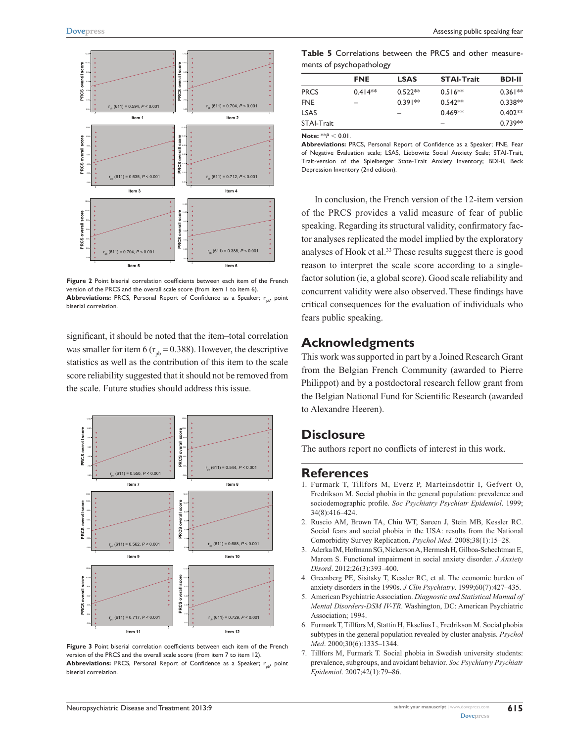

**Figure 2** Point biserial correlation coefficients between each item of the French version of the PRCS and the overall scale score (from item 1 to item 6). Abbreviations: PRCS, Personal Report of Confidence as a Speaker; r<sub>pb</sub>, point biserial correlation.

significant, it should be noted that the item–total correlation was smaller for item 6 ( $r_{pb} = 0.388$ ). However, the descriptive statistics as well as the contribution of this item to the scale score reliability suggested that it should not be removed from the scale. Future studies should address this issue.



**Figure 3** Point biserial correlation coefficients between each item of the French version of the PRCS and the overall scale score (from item 7 to item 12). Abbreviations: PRCS, Personal Report of Confidence as a Speaker; r<sub>pb</sub>, point biserial correlation.

**Table 5** Correlations between the PRCS and other measurements of psychopathology

|                   | <b>FNE</b> | <b>LSAS</b> | <b>STAI-Trait</b> | <b>BDI-II</b> |
|-------------------|------------|-------------|-------------------|---------------|
| <b>PRCS</b>       | $0.414**$  | $0.522**$   | $0.516**$         | $0.361**$     |
| <b>FNE</b>        |            | $0.391**$   | $0.542**$         | $0.338**$     |
| <b>LSAS</b>       |            |             | $0.469**$         | $0.402**$     |
| <b>STAI-Trait</b> |            |             |                   | $0.739**$     |
|                   |            |             |                   |               |

**Note:** \*\* $P < 0.01$ .

**Abbreviations:** PRCS, Personal Report of Confidence as a Speaker; FNE, Fear of Negative Evaluation scale; LSAS, Liebowitz Social Anxiety Scale; STAI-Trait, Trait-version of the Spielberger State-Trait Anxiety Inventory; BDI-II, Beck Depression Inventory (2nd edition).

In conclusion, the French version of the 12-item version of the PRCS provides a valid measure of fear of public speaking. Regarding its structural validity, confirmatory factor analyses replicated the model implied by the exploratory analyses of Hook et al.<sup>33</sup> These results suggest there is good reason to interpret the scale score according to a singlefactor solution (ie, a global score). Good scale reliability and concurrent validity were also observed. These findings have critical consequences for the evaluation of individuals who fears public speaking.

### **Acknowledgments**

This work was supported in part by a Joined Research Grant from the Belgian French Community (awarded to Pierre Philippot) and by a postdoctoral research fellow grant from the Belgian National Fund for Scientific Research (awarded to Alexandre Heeren).

### **Disclosure**

The authors report no conflicts of interest in this work.

### **References**

- 1. Furmark T, Tillfors M, Everz P, Marteinsdottir I, Gefvert O, Fredrikson M. Social phobia in the general population: prevalence and sociodemographic profile. *Soc Psychiatry Psychiatr Epidemiol*. 1999; 34(8):416–424.
- 2. Ruscio AM, Brown TA, Chiu WT, Sareen J, Stein MB, Kessler RC. Social fears and social phobia in the USA: results from the National Comorbidity Survey Replication. *Psychol Med*. 2008;38(1):15–28.
- 3. Aderka IM, Hofmann SG, Nickerson A, Hermesh H, Gilboa-Schechtman E, Marom S. Functional impairment in social anxiety disorder. *J Anxiety Disord*. 2012;26(3):393–400.
- 4. Greenberg PE, Sisitsky T, Kessler RC, et al. The economic burden of anxiety disorders in the 1990s. *J Clin Psychiatry*. 1999;60(7):427–435.
- 5. American Psychiatric Association. *Diagnostic and Statistical Manual of Mental Disorders-DSM IV-TR*. Washington, DC: American Psychiatric Association; 1994.
- 6. Furmark T, Tillfors M, Stattin H, Ekselius L, Fredrikson M. Social phobia subtypes in the general population revealed by cluster analysis. *Psychol Med*. 2000;30(6):1335–1344.
- 7. Tillfors M, Furmark T. Social phobia in Swedish university students: prevalence, subgroups, and avoidant behavior. *Soc Psychiatry Psychiatr Epidemiol*. 2007;42(1):79–86.

**615**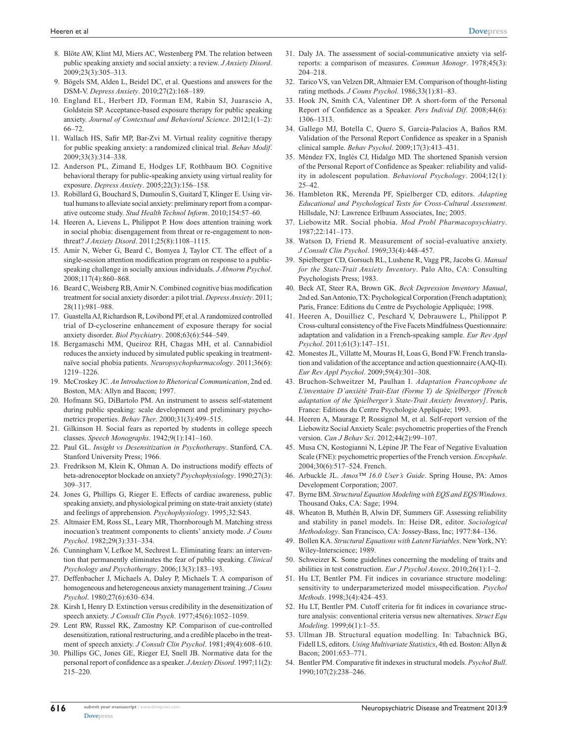- 8. Blöte AW, Klint MJ, Miers AC, Westenberg PM. The relation between public speaking anxiety and social anxiety: a review. *J Anxiety Disord*. 2009;23(3):305–313.
- 9. Bögels SM, Alden L, Beidel DC, et al. Questions and answers for the DSM-V. *Depress Anxiety*. 2010;27(2):168–189.
- 10. England EL, Herbert JD, Forman EM, Rabin SJ, Juarascio A, Goldstein SP. Acceptance-based exposure therapy for public speaking anxiety. *Journal of Contextual and Behavioral Science*. 2012;1(1–2): 66–72.
- 11. Wallach HS, Safir MP, Bar-Zvi M. Virtual reality cognitive therapy for public speaking anxiety: a randomized clinical trial. *Behav Modif*. 2009;33(3):314–338.
- 12. Anderson PL, Zimand E, Hodges LF, Rothbaum BO. Cognitive behavioral therapy for public-speaking anxiety using virtual reality for exposure. *Depress Anxiety*. 2005;22(3):156–158.
- 13. Robillard G, Bouchard S, Dumoulin S, Guitard T, Klinger E. Using virtual humans to alleviate social anxiety: preliminary report from a comparative outcome study. *Stud Health Technol Inform*. 2010;154:57–60.
- 14. Heeren A, Lievens L, Philippot P. How does attention training work in social phobia: disengagement from threat or re-engagement to nonthreat? *J Anxiety Disord*. 2011;25(8):1108–1115.
- 15. Amir N, Weber G, Beard C, Bomyea J, Taylor CT. The effect of a single-session attention modification program on response to a publicspeaking challenge in socially anxious individuals. *J Abnorm Psychol*. 2008;117(4):860–868.
- 16. Beard C, Weisberg RB, Amir N. Combined cognitive bias modification treatment for social anxiety disorder: a pilot trial. *Depress Anxiety*. 2011; 28(11):981–988.
- 17. Guastella AJ, Richardson R, Lovibond PF, et al. A randomized controlled trial of D-cycloserine enhancement of exposure therapy for social anxiety disorder. *Biol Psychiatry*. 2008;63(6):544–549.
- 18. Bergamaschi MM, Queiroz RH, Chagas MH, et al. Cannabidiol reduces the anxiety induced by simulated public speaking in treatmentnaïve social phobia patients. *Neuropsychopharmacology*. 2011;36(6): 1219–1226.
- 19. McCroskey JC. *An Introduction to Rhetorical Communication*, 2nd ed. Boston, MA: Allyn and Bacon; 1997.
- 20. Hofmann SG, DiBartolo PM. An instrument to assess self-statement during public speaking: scale development and preliminary psychometrics properties. *Behav Ther*. 2000;31(3):499–515.
- 21. Gilkinson H. Social fears as reported by students in college speech classes. *Speech Monographs*. 1942;9(1):141–160.
- 22. Paul GL. *Insight vs Desensitization in Psychotherapy*. Stanford, CA. Stanford University Press; 1966.
- 23. Fredrikson M, Klein K, Ohman A. Do instructions modify effects of beta-adrenoceptor blockade on anxiety? *Psychophysiology*. 1990;27(3): 309–317.
- 24. Jones G, Phillips G, Rieger E. Effects of cardiac awareness, public speaking anxiety, and physiological priming on state-trait anxiety (state) and feelings of apprehension. *Psychophysiology*. 1995;32:S43.
- 25. Altmaier EM, Ross SL, Leary MR, Thornborough M. Matching stress inocuation's treatment components to clients' anxiety mode. *J Couns Psychol*. 1982;29(3):331–334.
- 26. Cunningham V, Lefkoe M, Sechrest L. Eliminating fears: an intervention that permanently eliminates the fear of public speaking. *Clinical Psychology and Psychotherapy*. 2006;13(3):183–193.
- 27. Deffenbacher J, Michaels A, Daley P, Michaels T. A comparison of homogeneous and heterogeneous anxiety management training. *J Couns Psychol*. 1980;27(6):630–634.
- 28. Kirsh I, Henry D. Extinction versus credibility in the desensitization of speech anxiety. *J Consult Clin Psych*. 1977;45(6):1052–1059.
- 29. Lent RW, Russel RK, Zamostny KP. Comparison of cue-controlled desensitization, rational restructuring, and a credible placebo in the treatment of speech anxiety. *J Consult Clin Psychol*. 1981;49(4):608–610.
- 30. Phillips GC, Jones GE, Rieger EJ, Snell JB. Normative data for the personal report of confidence as a speaker. *J Anxiety Disord*. 1997;11(2): 215–220.
- 31. Daly JA. The assessment of social-communicative anxiety via selfreports: a comparison of measures. *Commun Monogr*. 1978;45(3): 204–218.
- 32. Tarico VS, van Velzen DR, Altmaier EM. Comparison of thought-listing rating methods. *J Couns Psychol*. 1986;33(1):81–83.
- 33. Hook JN, Smith CA, Valentiner DP. A short-form of the Personal Report of Confidence as a Speaker. *Pers Individ Dif*. 2008;44(6): 1306–1313.
- 34. Gallego MJ, Botella C, Quero S, Garcia-Palacios A, Baños RM. Validation of the Personal Report Confidence as speaker in a Spanish clinical sample. *Behav Psychol*. 2009;17(3):413–431.
- 35. Méndez FX, Inglés CJ, Hidalgo MD. The shortened Spanish version of the Personal Report of Confidence as Speaker: reliability and validity in adolescent population. *Behavioral Psychology*. 2004;12(1): 25–42.
- 36. Hambleton RK, Merenda PF, Spielberger CD, editors. *Adapting Educational and Psychological Tests for Cross-Cultural Assessment*. Hillsdale, NJ: Lawrence Erlbaum Associates, Inc; 2005.
- 37. Liebowitz MR. Social phobia. *Mod Probl Pharmacopsychiatry*. 1987;22:141–173.
- 38. Watson D, Friend R. Measurement of social-evaluative anxiety. *J Consult Clin Psychol*. 1969;33(4):448–457.
- 39. Spielberger CD, Gorsuch RL, Lushene R, Vagg PR, Jacobs G. *Manual for the State-Trait Anxiety Inventory*. Palo Alto, CA: Consulting Psychologists Press; 1983.
- 40. Beck AT, Steer RA, Brown GK. *Beck Depression Inventory Manual*, 2nd ed. San Antonio, TX: Psychological Corporation (French adaptation); Paris, France: Editions du Centre de Psychologie Appliquée; 1998.
- 41. Heeren A, Douilliez C, Peschard V, Debrauwere L, Philippot P. Cross-cultural consistency of the Five Facets Mindfulness Questionnaire: adaptation and validation in a French-speaking sample. *Eur Rev Appl Psychol*. 2011;61(3):147–151.
- 42. Monestes JL, Villatte M, Mouras H, Loas G, Bond FW. French translation and validation of the acceptance and action questionnaire (AAQ-II). *Eur Rev Appl Psychol*. 2009;59(4):301–308.
- 43. Bruchon-Schweitzer M, Paulhan I. *Adaptation Francophone de L'inventaire D'anxiété Trait-Etat (Forme Y) de Spielberger [French adaptation of the Spielberger's State-Trait Anxiety Inventory]*. Paris, France: Editions du Centre Psychologie Appliquée; 1993.
- 44. Heeren A, Maurage P, Rossignol M, et al. Self-report version of the Liebowitz Social Anxiety Scale: psychometric properties of the French version. *Can J Behav Sci*. 2012;44(2):99–107.
- 45. Musa CN, Kostogianni N, Lépine JP. The Fear of Negative Evaluation Scale (FNE): psychometric properties of the French version. *Encephale*. 2004;30(6):517–524. French.
- 46. Arbuckle JL. *Amos™ 16*.*0 User's Guide*. Spring House, PA: Amos Development Corporation; 2007.
- 47. Byrne BM. *Structural Equation Modeling with EQS and EQS/Windows*. Thousand Oaks, CA: Sage; 1994.
- 48. Wheaton B, Muthén B, Alwin DF, Summers GF. Assessing reliability and stability in panel models. In: Heise DR, editor. *Sociological Methodology*. San Francisco, CA: Jossey-Bass, Inc; 1977:84–136.
- 49. Bollen KA. *Structural Equations with Latent Variables*. New York, NY: Wiley-Interscience; 1989.
- 50. Schweizer K. Some guidelines concerning the modeling of traits and abilities in test construction. *Eur J Psychol Assess*. 2010;26(1):1–2.
- 51. Hu LT, Bentler PM. Fit indices in covariance structure modeling: sensitivity to underparameterized model misspecification. *Psychol Methods*. 1998;3(4):424–453.
- 52. Hu LT, Bentler PM. Cutoff criteria for fit indices in covariance structure analysis: conventional criteria versus new alternatives. *Struct Equ Modeling*. 1999;6(1):1–55.
- 53. Ullman JB. Structural equation modelling. In: Tabachnick BG, Fidell LS, editors. *Using Multivariate Statistics*, 4th ed. Boston: Allyn & Bacon; 2001:653–771.
- 54. Bentler PM. Comparative fit indexes in structural models. *Psychol Bull*. 1990;107(2):238–246.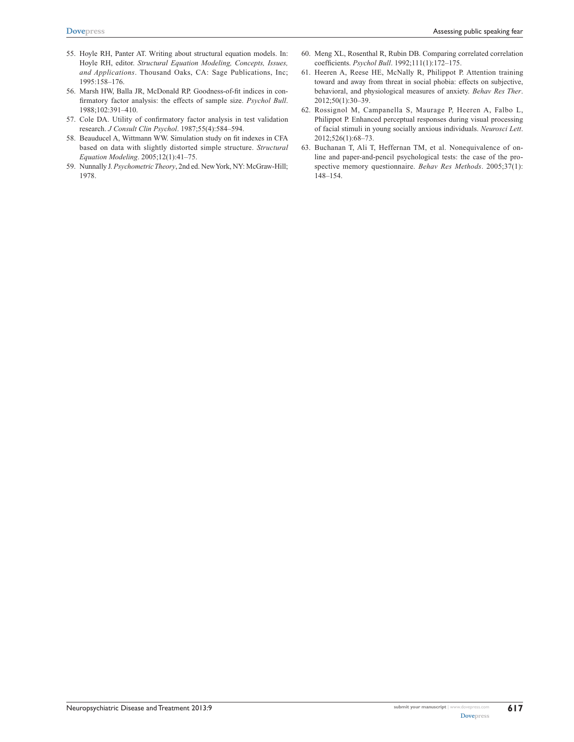- 55. Hoyle RH, Panter AT. Writing about structural equation models. In: Hoyle RH, editor. *Structural Equation Modeling, Concepts, Issues, and Applications*. Thousand Oaks, CA: Sage Publications, Inc; 1995:158–176.
- 56. Marsh HW, Balla JR, McDonald RP. Goodness-of-fit indices in confirmatory factor analysis: the effects of sample size. *Psychol Bull*. 1988;102:391–410.
- 57. Cole DA. Utility of confirmatory factor analysis in test validation research. *J Consult Clin Psychol*. 1987;55(4):584–594.
- 58. Beauducel A, Wittmann WW. Simulation study on fit indexes in CFA based on data with slightly distorted simple structure. *Structural Equation Modeling*. 2005;12(1):41–75.
- 59. Nunnally J. *Psychometric Theory*, 2nd ed. New York, NY: McGraw-Hill; 1978.
- 60. Meng XL, Rosenthal R, Rubin DB. Comparing correlated correlation coefficients. *Psychol Bull*. 1992;111(1):172–175.
- 61. Heeren A, Reese HE, McNally R, Philippot P. Attention training toward and away from threat in social phobia: effects on subjective, behavioral, and physiological measures of anxiety. *Behav Res Ther*. 2012;50(1):30–39.
- 62. Rossignol M, Campanella S, Maurage P, Heeren A, Falbo L, Philippot P. Enhanced perceptual responses during visual processing of facial stimuli in young socially anxious individuals. *Neurosci Lett*. 2012;526(1):68–73.
- 63. Buchanan T, Ali T, Heffernan TM, et al. Nonequivalence of online and paper-and-pencil psychological tests: the case of the prospective memory questionnaire. *Behav Res Methods*. 2005;37(1): 148–154.